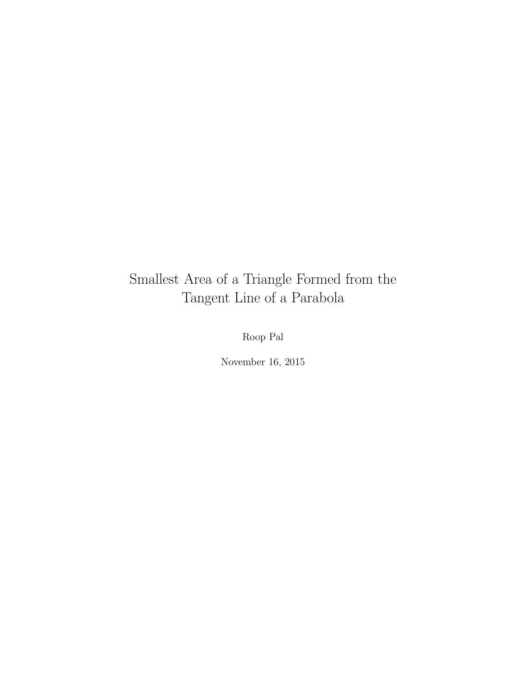# Smallest Area of a Triangle Formed from the Tangent Line of a Parabola

Roop Pal

November 16, 2015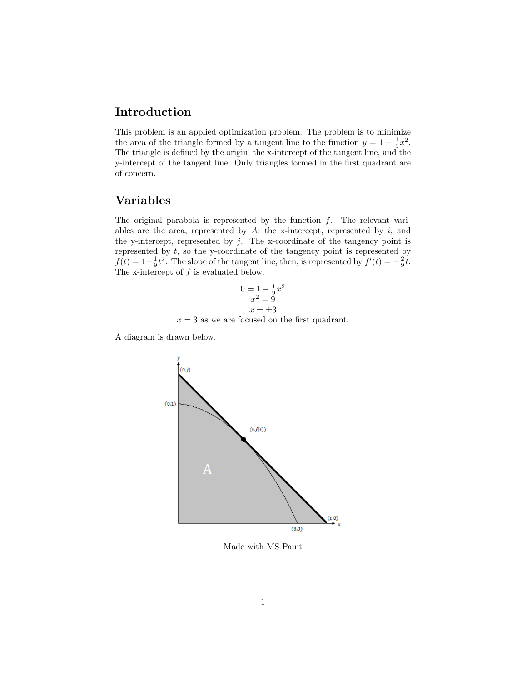## Introduction

This problem is an applied optimization problem. The problem is to minimize the area of the triangle formed by a tangent line to the function  $y = 1 - \frac{1}{9}x^2$ . The triangle is defined by the origin, the x-intercept of the tangent line, and the y-intercept of the tangent line. Only triangles formed in the first quadrant are of concern.

### Variables

The original parabola is represented by the function  $f$ . The relevant variables are the area, represented by  $A$ ; the x-intercept, represented by  $i$ , and the y-intercept, represented by  $j$ . The x-coordinate of the tangency point is represented by  $t$ , so the y-coordinate of the tangency point is represented by  $f(t) = 1 - \frac{1}{9}t^2$ . The slope of the tangent line, then, is represented by  $f'(t) = -\frac{2}{9}t$ . The x-intercept of  $f$  is evaluated below.

$$
0 = 1 - \frac{1}{9}x^2
$$
  

$$
x^2 = 9
$$
  

$$
x = \pm 3
$$

 $x = 3$  as we are focused on the first quadrant.

A diagram is drawn below.



Made with MS Paint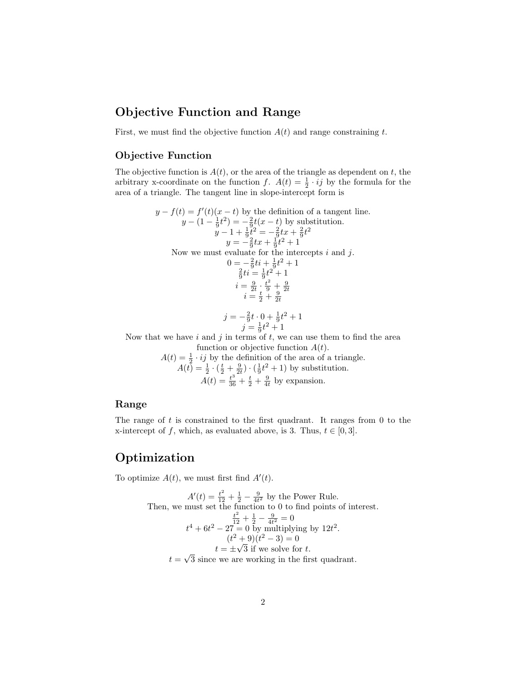## Objective Function and Range

First, we must find the objective function  $A(t)$  and range constraining t.

#### Objective Function

The objective function is  $A(t)$ , or the area of the triangle as dependent on t, the arbitrary x-coordinate on the function f.  $A(t) = \frac{1}{2} \cdot ij$  by the formula for the area of a triangle. The tangent line in slope-intercept form is

$$
y - f(t) = f'(t)(x - t)
$$
 by the definition of a tangent line.  
\n
$$
y - (1 - \frac{1}{9}t^2) = -\frac{2}{9}t(x - t)
$$
 by substitution.  
\n
$$
y - 1 + \frac{1}{9}t^2 = -\frac{2}{9}tx + \frac{2}{9}t^2
$$
  
\n
$$
y = -\frac{2}{9}tx + \frac{1}{9}t^2 + 1
$$
  
\nNow we must evaluate for the intercepts *i* and *j*.  
\n
$$
0 = -\frac{2}{9}ti + \frac{1}{9}t^2 + 1
$$
  
\n
$$
\frac{2}{9}ti = \frac{1}{9}t^2 + 1
$$
  
\n
$$
i = \frac{9}{2t} \cdot \frac{t^2}{9} + \frac{9}{2t}
$$
  
\n
$$
i = \frac{4}{2}t^2 + \frac{9}{2t}
$$
  
\n
$$
j = -\frac{2}{9}t \cdot 0 + \frac{1}{9}t^2 + 1
$$
  
\nNow that we have *i* and *j* in terms of *t*, we can use them to find the area

function or objective function  $A(t)$ .

 $A(t) = \frac{1}{2} \cdot ij$  by the definition of the area of a triangle.  $A(t) = \frac{1}{2} \cdot (\frac{t}{2} + \frac{9}{2t}) \cdot (\frac{1}{9}t^2 + 1)$  by substitution.  $A(t) = \frac{t^3}{36} + \frac{t}{2} + \frac{9}{4t}$  by expansion.

#### Range

The range of  $t$  is constrained to the first quadrant. It ranges from  $0$  to the x-intercept of f, which, as evaluated above, is 3. Thus,  $t \in [0,3]$ .

## Optimization

To optimize  $A(t)$ , we must first find  $A'(t)$ .

$$
A'(t) = \frac{t^2}{12} + \frac{1}{2} - \frac{9}{4t^2}
$$
 by the Power Rule.  
Then, we must set the function to 0 to find points of interest.  

$$
\frac{t^2}{12} + \frac{1}{2} - \frac{9}{4t^2} = 0
$$

$$
t^4 + 6t^2 - 27 = 0
$$
 by multiplying by 12t<sup>2</sup>.  

$$
(t^2 + 9)(t^2 - 3) = 0
$$

$$
t = \pm \sqrt{3}
$$
 if we solve for t.  

$$
t = \sqrt{3}
$$
 since we are working in the first quadrant.